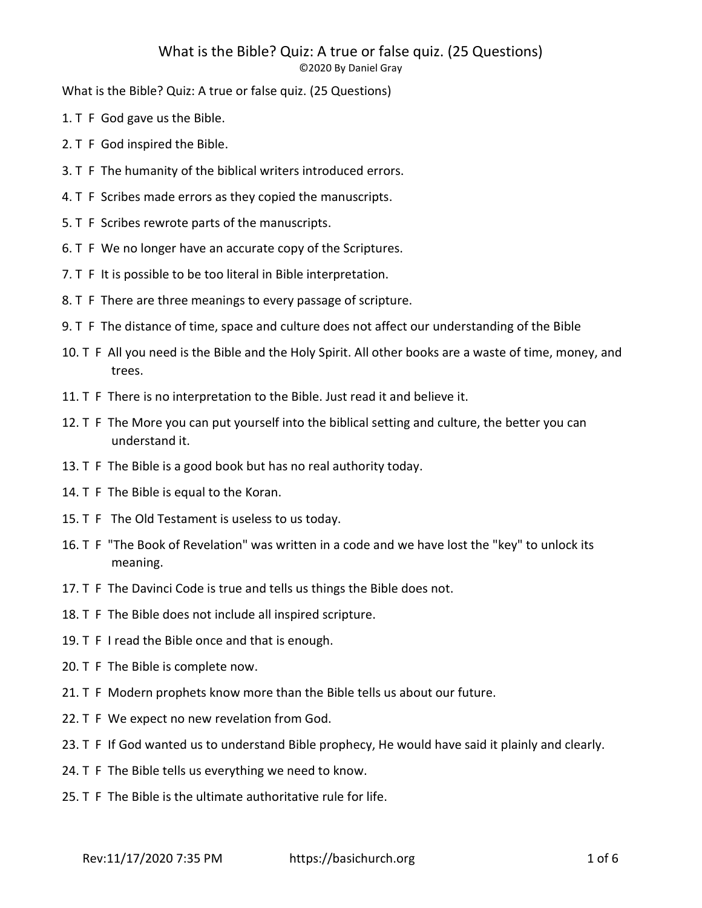# What is the Bible? Quiz: A true or false quiz. (25 Questions)

©2020 By Daniel Gray

What is the Bible? Quiz: A true or false quiz. (25 Questions)

- 1. T F God gave us the Bible.
- 2. T F God inspired the Bible.
- 3. T F The humanity of the biblical writers introduced errors.
- 4. T F Scribes made errors as they copied the manuscripts.
- 5. T F Scribes rewrote parts of the manuscripts.
- 6. T F We no longer have an accurate copy of the Scriptures.
- 7. T F It is possible to be too literal in Bible interpretation.
- 8. T F There are three meanings to every passage of scripture.
- 9. T F The distance of time, space and culture does not affect our understanding of the Bible
- 10. T F All you need is the Bible and the Holy Spirit. All other books are a waste of time, money, and trees.
- 11. T F There is no interpretation to the Bible. Just read it and believe it.
- 12. T F The More you can put yourself into the biblical setting and culture, the better you can understand it.
- 13. T F The Bible is a good book but has no real authority today.
- 14. T F The Bible is equal to the Koran.
- 15. T F The Old Testament is useless to us today.
- 16. T F "The Book of Revelation" was written in a code and we have lost the "key" to unlock its meaning.
- 17. T F The Davinci Code is true and tells us things the Bible does not.
- 18. T F The Bible does not include all inspired scripture.
- 19. T F I read the Bible once and that is enough.
- 20. T F The Bible is complete now.
- 21. T F Modern prophets know more than the Bible tells us about our future.
- 22. T F We expect no new revelation from God.
- 23. T F If God wanted us to understand Bible prophecy, He would have said it plainly and clearly.
- 24. T F The Bible tells us everything we need to know.
- 25. T F The Bible is the ultimate authoritative rule for life.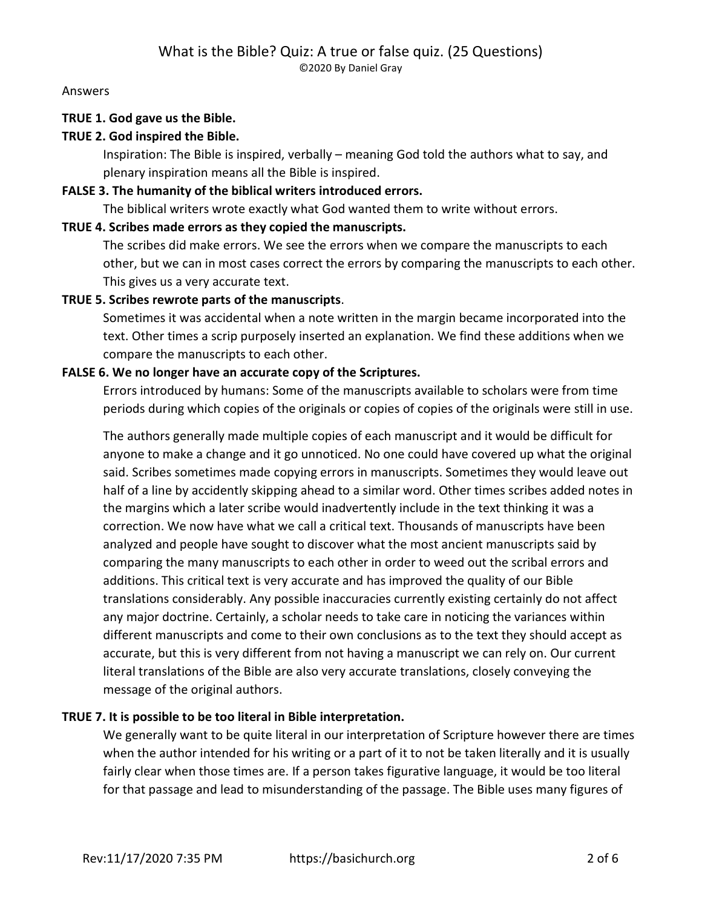Answers

## TRUE 1. God gave us the Bible.

## TRUE 2. God inspired the Bible.

Inspiration: The Bible is inspired, verbally – meaning God told the authors what to say, and plenary inspiration means all the Bible is inspired.

#### FALSE 3. The humanity of the biblical writers introduced errors.

The biblical writers wrote exactly what God wanted them to write without errors.

#### TRUE 4. Scribes made errors as they copied the manuscripts.

The scribes did make errors. We see the errors when we compare the manuscripts to each other, but we can in most cases correct the errors by comparing the manuscripts to each other. This gives us a very accurate text.

## TRUE 5. Scribes rewrote parts of the manuscripts.

Sometimes it was accidental when a note written in the margin became incorporated into the text. Other times a scrip purposely inserted an explanation. We find these additions when we compare the manuscripts to each other.

#### FALSE 6. We no longer have an accurate copy of the Scriptures.

Errors introduced by humans: Some of the manuscripts available to scholars were from time periods during which copies of the originals or copies of copies of the originals were still in use.

The authors generally made multiple copies of each manuscript and it would be difficult for anyone to make a change and it go unnoticed. No one could have covered up what the original said. Scribes sometimes made copying errors in manuscripts. Sometimes they would leave out half of a line by accidently skipping ahead to a similar word. Other times scribes added notes in the margins which a later scribe would inadvertently include in the text thinking it was a correction. We now have what we call a critical text. Thousands of manuscripts have been analyzed and people have sought to discover what the most ancient manuscripts said by comparing the many manuscripts to each other in order to weed out the scribal errors and additions. This critical text is very accurate and has improved the quality of our Bible translations considerably. Any possible inaccuracies currently existing certainly do not affect any major doctrine. Certainly, a scholar needs to take care in noticing the variances within different manuscripts and come to their own conclusions as to the text they should accept as accurate, but this is very different from not having a manuscript we can rely on. Our current literal translations of the Bible are also very accurate translations, closely conveying the message of the original authors.

## TRUE 7. It is possible to be too literal in Bible interpretation.

We generally want to be quite literal in our interpretation of Scripture however there are times when the author intended for his writing or a part of it to not be taken literally and it is usually fairly clear when those times are. If a person takes figurative language, it would be too literal for that passage and lead to misunderstanding of the passage. The Bible uses many figures of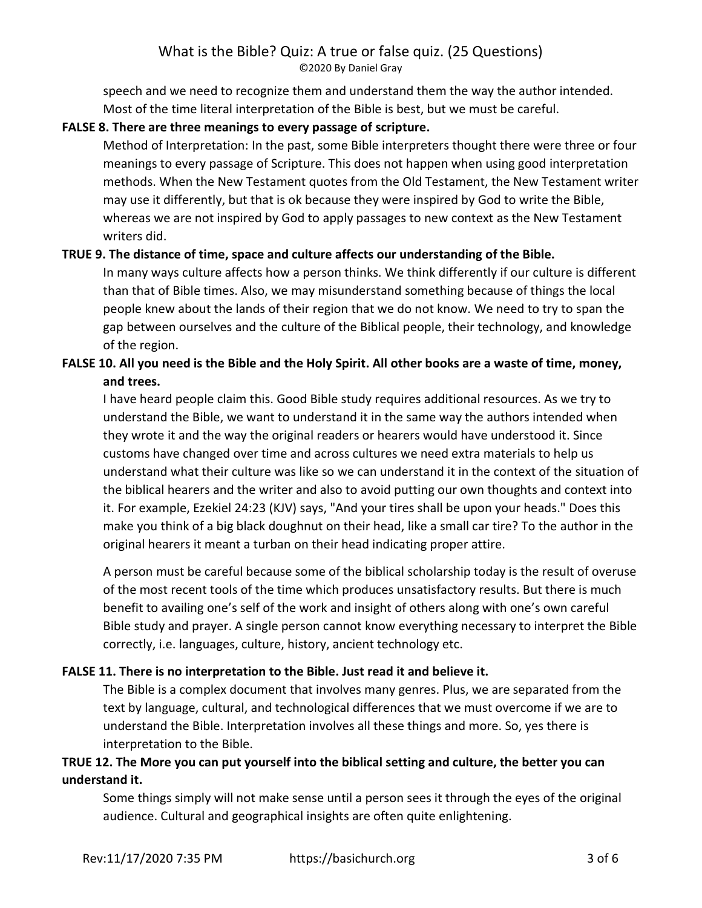speech and we need to recognize them and understand them the way the author intended. Most of the time literal interpretation of the Bible is best, but we must be careful.

# FALSE 8. There are three meanings to every passage of scripture.

Method of Interpretation: In the past, some Bible interpreters thought there were three or four meanings to every passage of Scripture. This does not happen when using good interpretation methods. When the New Testament quotes from the Old Testament, the New Testament writer may use it differently, but that is ok because they were inspired by God to write the Bible, whereas we are not inspired by God to apply passages to new context as the New Testament writers did.

# TRUE 9. The distance of time, space and culture affects our understanding of the Bible.

In many ways culture affects how a person thinks. We think differently if our culture is different than that of Bible times. Also, we may misunderstand something because of things the local people knew about the lands of their region that we do not know. We need to try to span the gap between ourselves and the culture of the Biblical people, their technology, and knowledge of the region.

# FALSE 10. All you need is the Bible and the Holy Spirit. All other books are a waste of time, money, and trees.

I have heard people claim this. Good Bible study requires additional resources. As we try to understand the Bible, we want to understand it in the same way the authors intended when they wrote it and the way the original readers or hearers would have understood it. Since customs have changed over time and across cultures we need extra materials to help us understand what their culture was like so we can understand it in the context of the situation of the biblical hearers and the writer and also to avoid putting our own thoughts and context into it. For example, Ezekiel 24:23 (KJV) says, "And your tires shall be upon your heads." Does this make you think of a big black doughnut on their head, like a small car tire? To the author in the original hearers it meant a turban on their head indicating proper attire.

A person must be careful because some of the biblical scholarship today is the result of overuse of the most recent tools of the time which produces unsatisfactory results. But there is much benefit to availing one's self of the work and insight of others along with one's own careful Bible study and prayer. A single person cannot know everything necessary to interpret the Bible correctly, i.e. languages, culture, history, ancient technology etc.

# FALSE 11. There is no interpretation to the Bible. Just read it and believe it.

The Bible is a complex document that involves many genres. Plus, we are separated from the text by language, cultural, and technological differences that we must overcome if we are to understand the Bible. Interpretation involves all these things and more. So, yes there is interpretation to the Bible.

# TRUE 12. The More you can put yourself into the biblical setting and culture, the better you can understand it.

Some things simply will not make sense until a person sees it through the eyes of the original audience. Cultural and geographical insights are often quite enlightening.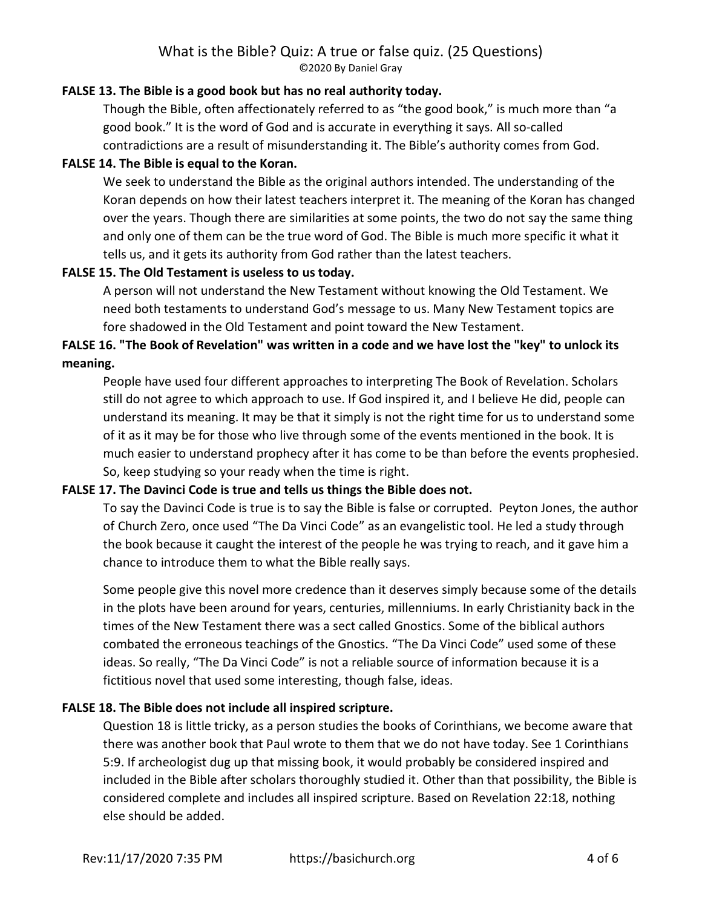## FALSE 13. The Bible is a good book but has no real authority today.

Though the Bible, often affectionately referred to as "the good book," is much more than "a good book." It is the word of God and is accurate in everything it says. All so-called contradictions are a result of misunderstanding it. The Bible's authority comes from God.

## FALSE 14. The Bible is equal to the Koran.

We seek to understand the Bible as the original authors intended. The understanding of the Koran depends on how their latest teachers interpret it. The meaning of the Koran has changed over the years. Though there are similarities at some points, the two do not say the same thing and only one of them can be the true word of God. The Bible is much more specific it what it tells us, and it gets its authority from God rather than the latest teachers.

## FALSE 15. The Old Testament is useless to us today.

A person will not understand the New Testament without knowing the Old Testament. We need both testaments to understand God's message to us. Many New Testament topics are fore shadowed in the Old Testament and point toward the New Testament.

# FALSE 16. "The Book of Revelation" was written in a code and we have lost the "key" to unlock its meaning.

People have used four different approaches to interpreting The Book of Revelation. Scholars still do not agree to which approach to use. If God inspired it, and I believe He did, people can understand its meaning. It may be that it simply is not the right time for us to understand some of it as it may be for those who live through some of the events mentioned in the book. It is much easier to understand prophecy after it has come to be than before the events prophesied. So, keep studying so your ready when the time is right.

## FALSE 17. The Davinci Code is true and tells us things the Bible does not.

To say the Davinci Code is true is to say the Bible is false or corrupted. Peyton Jones, the author of Church Zero, once used "The Da Vinci Code" as an evangelistic tool. He led a study through the book because it caught the interest of the people he was trying to reach, and it gave him a chance to introduce them to what the Bible really says.

Some people give this novel more credence than it deserves simply because some of the details in the plots have been around for years, centuries, millenniums. In early Christianity back in the times of the New Testament there was a sect called Gnostics. Some of the biblical authors combated the erroneous teachings of the Gnostics. "The Da Vinci Code" used some of these ideas. So really, "The Da Vinci Code" is not a reliable source of information because it is a fictitious novel that used some interesting, though false, ideas.

# FALSE 18. The Bible does not include all inspired scripture.

Question 18 is little tricky, as a person studies the books of Corinthians, we become aware that there was another book that Paul wrote to them that we do not have today. See 1 Corinthians 5:9. If archeologist dug up that missing book, it would probably be considered inspired and included in the Bible after scholars thoroughly studied it. Other than that possibility, the Bible is considered complete and includes all inspired scripture. Based on Revelation 22:18, nothing else should be added.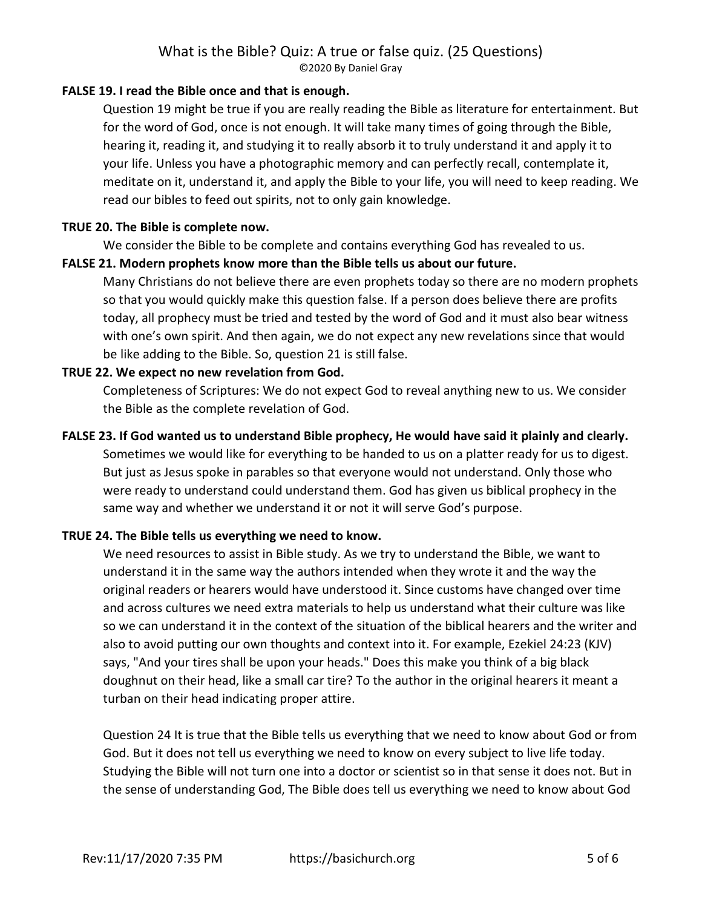## FALSE 19. I read the Bible once and that is enough.

Question 19 might be true if you are really reading the Bible as literature for entertainment. But for the word of God, once is not enough. It will take many times of going through the Bible, hearing it, reading it, and studying it to really absorb it to truly understand it and apply it to your life. Unless you have a photographic memory and can perfectly recall, contemplate it, meditate on it, understand it, and apply the Bible to your life, you will need to keep reading. We read our bibles to feed out spirits, not to only gain knowledge.

#### TRUE 20. The Bible is complete now.

We consider the Bible to be complete and contains everything God has revealed to us.

#### FALSE 21. Modern prophets know more than the Bible tells us about our future.

Many Christians do not believe there are even prophets today so there are no modern prophets so that you would quickly make this question false. If a person does believe there are profits today, all prophecy must be tried and tested by the word of God and it must also bear witness with one's own spirit. And then again, we do not expect any new revelations since that would be like adding to the Bible. So, question 21 is still false.

#### TRUE 22. We expect no new revelation from God.

Completeness of Scriptures: We do not expect God to reveal anything new to us. We consider the Bible as the complete revelation of God.

#### FALSE 23. If God wanted us to understand Bible prophecy, He would have said it plainly and clearly.

Sometimes we would like for everything to be handed to us on a platter ready for us to digest. But just as Jesus spoke in parables so that everyone would not understand. Only those who were ready to understand could understand them. God has given us biblical prophecy in the same way and whether we understand it or not it will serve God's purpose.

#### TRUE 24. The Bible tells us everything we need to know.

We need resources to assist in Bible study. As we try to understand the Bible, we want to understand it in the same way the authors intended when they wrote it and the way the original readers or hearers would have understood it. Since customs have changed over time and across cultures we need extra materials to help us understand what their culture was like so we can understand it in the context of the situation of the biblical hearers and the writer and also to avoid putting our own thoughts and context into it. For example, Ezekiel 24:23 (KJV) says, "And your tires shall be upon your heads." Does this make you think of a big black doughnut on their head, like a small car tire? To the author in the original hearers it meant a turban on their head indicating proper attire.

Question 24 It is true that the Bible tells us everything that we need to know about God or from God. But it does not tell us everything we need to know on every subject to live life today. Studying the Bible will not turn one into a doctor or scientist so in that sense it does not. But in the sense of understanding God, The Bible does tell us everything we need to know about God